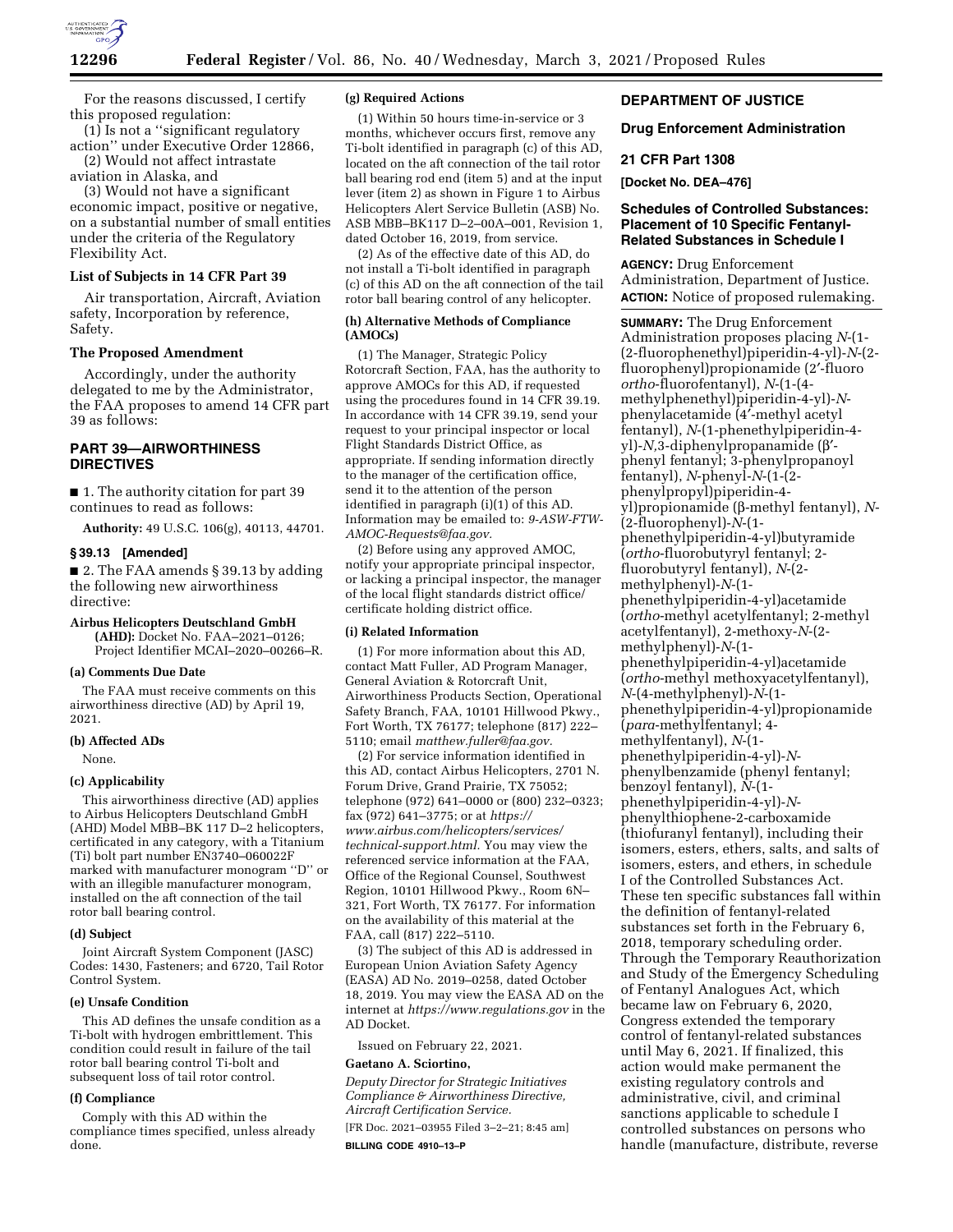

For the reasons discussed, I certify this proposed regulation:

(1) Is not a ''significant regulatory action'' under Executive Order 12866,

(2) Would not affect intrastate aviation in Alaska, and

(3) Would not have a significant economic impact, positive or negative, on a substantial number of small entities under the criteria of the Regulatory Flexibility Act.

### **List of Subjects in 14 CFR Part 39**

Air transportation, Aircraft, Aviation safety, Incorporation by reference, Safety.

### **The Proposed Amendment**

Accordingly, under the authority delegated to me by the Administrator, the FAA proposes to amend 14 CFR part 39 as follows:

# **PART 39—AIRWORTHINESS DIRECTIVES**

■ 1. The authority citation for part 39 continues to read as follows:

**Authority:** 49 U.S.C. 106(g), 40113, 44701.

### **§ 39.13 [Amended]**

■ 2. The FAA amends § 39.13 by adding the following new airworthiness directive:

# **Airbus Helicopters Deutschland GmbH**

**(AHD):** Docket No. FAA–2021–0126; Project Identifier MCAI–2020–00266–R.

#### **(a) Comments Due Date**

The FAA must receive comments on this airworthiness directive (AD) by April 19, 2021.

### **(b) Affected ADs**

None.

# **(c) Applicability**

This airworthiness directive (AD) applies to Airbus Helicopters Deutschland GmbH (AHD) Model MBB–BK 117 D–2 helicopters, certificated in any category, with a Titanium (Ti) bolt part number EN3740–060022F marked with manufacturer monogram ''D'' or with an illegible manufacturer monogram, installed on the aft connection of the tail rotor ball bearing control.

#### **(d) Subject**

Joint Aircraft System Component (JASC) Codes: 1430, Fasteners; and 6720, Tail Rotor Control System.

# **(e) Unsafe Condition**

This AD defines the unsafe condition as a Ti-bolt with hydrogen embrittlement. This condition could result in failure of the tail rotor ball bearing control Ti-bolt and subsequent loss of tail rotor control.

#### **(f) Compliance**

Comply with this AD within the compliance times specified, unless already done.

#### **(g) Required Actions**

(1) Within 50 hours time-in-service or 3 months, whichever occurs first, remove any Ti-bolt identified in paragraph (c) of this AD, located on the aft connection of the tail rotor ball bearing rod end (item 5) and at the input lever (item 2) as shown in Figure 1 to Airbus Helicopters Alert Service Bulletin (ASB) No. ASB MBB–BK117 D–2–00A–001, Revision 1, dated October 16, 2019, from service.

(2) As of the effective date of this AD, do not install a Ti-bolt identified in paragraph (c) of this AD on the aft connection of the tail rotor ball bearing control of any helicopter.

### **(h) Alternative Methods of Compliance (AMOCs)**

(1) The Manager, Strategic Policy Rotorcraft Section, FAA, has the authority to approve AMOCs for this AD, if requested using the procedures found in 14 CFR 39.19. In accordance with 14 CFR 39.19, send your request to your principal inspector or local Flight Standards District Office, as appropriate. If sending information directly to the manager of the certification office, send it to the attention of the person identified in paragraph (i)(1) of this AD. Information may be emailed to: *[9-ASW-FTW-](mailto:9-ASW-FTW-AMOC-Requests@faa.gov)[AMOC-Requests@faa.gov.](mailto:9-ASW-FTW-AMOC-Requests@faa.gov)* 

(2) Before using any approved AMOC, notify your appropriate principal inspector, or lacking a principal inspector, the manager of the local flight standards district office/ certificate holding district office.

### **(i) Related Information**

(1) For more information about this AD, contact Matt Fuller, AD Program Manager, General Aviation & Rotorcraft Unit, Airworthiness Products Section, Operational Safety Branch, FAA, 10101 Hillwood Pkwy., Fort Worth, TX 76177; telephone (817) 222– 5110; email *[matthew.fuller@faa.gov.](mailto:matthew.fuller@faa.gov)* 

(2) For service information identified in this AD, contact Airbus Helicopters, 2701 N. Forum Drive, Grand Prairie, TX 75052; telephone (972) 641–0000 or (800) 232–0323; fax (972) 641–3775; or at *[https://](https://www.airbus.com/helicopters/services/technical-support.html) [www.airbus.com/helicopters/services/](https://www.airbus.com/helicopters/services/technical-support.html) [technical-support.html.](https://www.airbus.com/helicopters/services/technical-support.html)* You may view the referenced service information at the FAA, Office of the Regional Counsel, Southwest Region, 10101 Hillwood Pkwy., Room 6N– 321, Fort Worth, TX 76177. For information on the availability of this material at the FAA, call (817) 222–5110.

(3) The subject of this AD is addressed in European Union Aviation Safety Agency (EASA) AD No. 2019–0258, dated October 18, 2019. You may view the EASA AD on the internet at *<https://www.regulations.gov>* in the AD Docket.

Issued on February 22, 2021.

### **Gaetano A. Sciortino,**

*Deputy Director for Strategic Initiatives Compliance & Airworthiness Directive, Aircraft Certification Service.* 

[FR Doc. 2021–03955 Filed 3–2–21; 8:45 am] **BILLING CODE 4910–13–P** 

# **DEPARTMENT OF JUSTICE**

### **Drug Enforcement Administration**

# **21 CFR Part 1308**

**[Docket No. DEA–476]** 

# **Schedules of Controlled Substances: Placement of 10 Specific Fentanyl-Related Substances in Schedule I**

**AGENCY:** Drug Enforcement Administration, Department of Justice. **ACTION:** Notice of proposed rulemaking.

**SUMMARY:** The Drug Enforcement Administration proposes placing *N*-(1- (2-fluorophenethyl)piperidin-4-yl)-*N*-(2 fluorophenyl)propionamide (2′-fluoro *ortho*-fluorofentanyl), *N*-(1-(4 methylphenethyl)piperidin-4-yl)-*N*phenylacetamide (4′-methyl acetyl fentanyl), *N*-(1-phenethylpiperidin-4 yl)-*N,*3-diphenylpropanamide (b′ phenyl fentanyl; 3-phenylpropanoyl fentanyl), *N*-phenyl-*N*-(1-(2 phenylpropyl)piperidin-4 yl)propionamide (b-methyl fentanyl), *N*- (2-fluorophenyl)-*N*-(1 phenethylpiperidin-4-yl)butyramide (*ortho*-fluorobutyryl fentanyl; 2 fluorobutyryl fentanyl), *N*-(2 methylphenyl)-*N*-(1 phenethylpiperidin-4-yl)acetamide (*ortho*-methyl acetylfentanyl; 2-methyl acetylfentanyl), 2-methoxy-*N*-(2 methylphenyl)-*N*-(1 phenethylpiperidin-4-yl)acetamide (*ortho*-methyl methoxyacetylfentanyl), *N*-(4-methylphenyl)-*N*-(1 phenethylpiperidin-4-yl)propionamide (*para*-methylfentanyl; 4 methylfentanyl), *N*-(1 phenethylpiperidin-4-yl)-*N*phenylbenzamide (phenyl fentanyl; benzoyl fentanyl), *N*-(1 phenethylpiperidin-4-yl)-*N*phenylthiophene-2-carboxamide (thiofuranyl fentanyl), including their isomers, esters, ethers, salts, and salts of isomers, esters, and ethers, in schedule I of the Controlled Substances Act. These ten specific substances fall within the definition of fentanyl-related substances set forth in the February 6, 2018, temporary scheduling order. Through the Temporary Reauthorization and Study of the Emergency Scheduling of Fentanyl Analogues Act, which became law on February 6, 2020, Congress extended the temporary control of fentanyl-related substances until May 6, 2021. If finalized, this action would make permanent the existing regulatory controls and administrative, civil, and criminal sanctions applicable to schedule I controlled substances on persons who handle (manufacture, distribute, reverse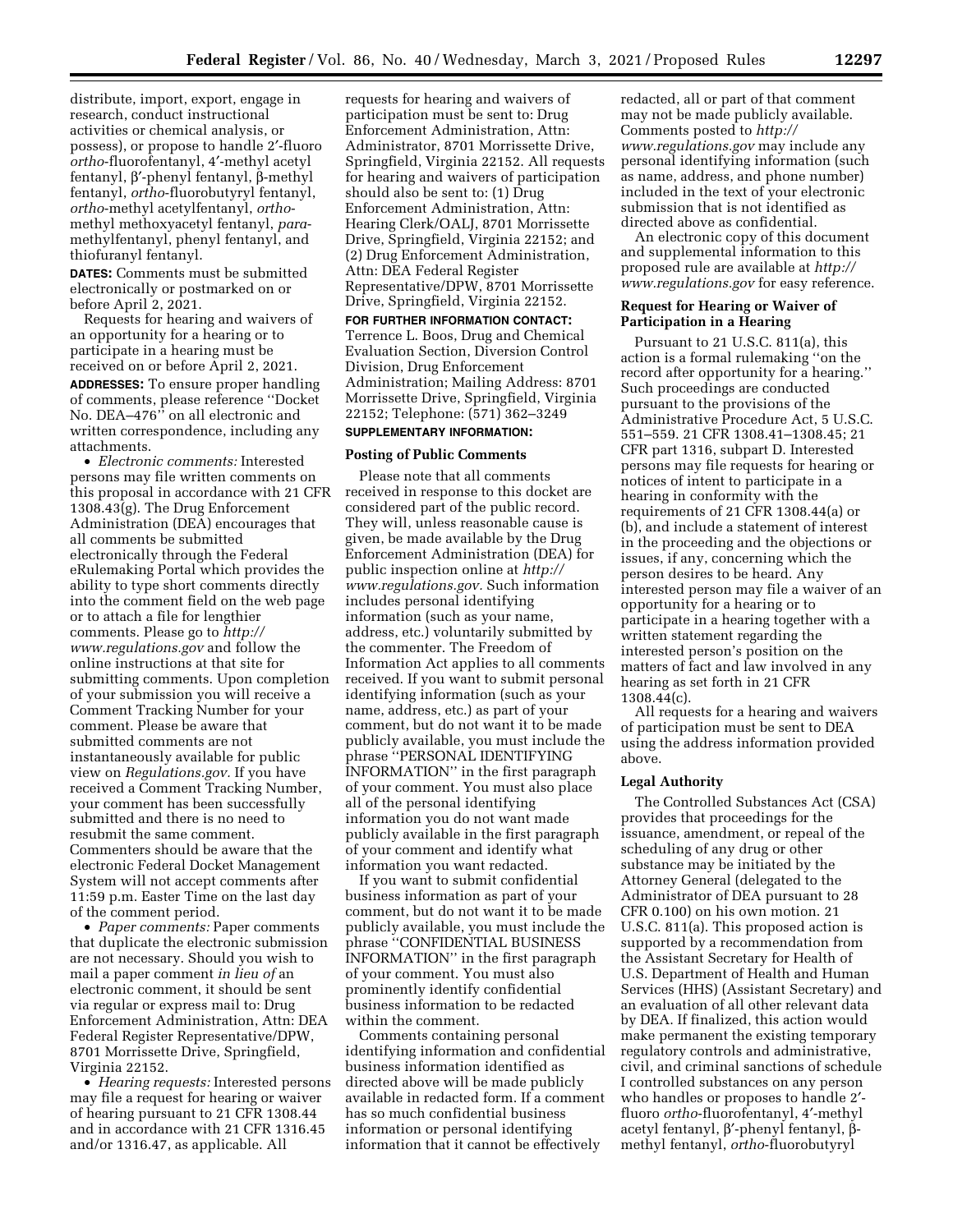distribute, import, export, engage in research, conduct instructional activities or chemical analysis, or possess), or propose to handle 2′-fluoro *ortho*-fluorofentanyl, 4′-methyl acetyl fentanyl, b′-phenyl fentanyl, b-methyl fentanyl, *ortho*-fluorobutyryl fentanyl, *ortho*-methyl acetylfentanyl, *ortho*methyl methoxyacetyl fentanyl, *para*methylfentanyl, phenyl fentanyl, and thiofuranyl fentanyl.

**DATES:** Comments must be submitted electronically or postmarked on or before April 2, 2021.

Requests for hearing and waivers of an opportunity for a hearing or to participate in a hearing must be received on or before April 2, 2021. **ADDRESSES:** To ensure proper handling of comments, please reference ''Docket No. DEA–476<sup>"</sup> on all electronic and written correspondence, including any attachments.

• *Electronic comments:* Interested persons may file written comments on this proposal in accordance with 21 CFR 1308.43(g). The Drug Enforcement Administration (DEA) encourages that all comments be submitted electronically through the Federal eRulemaking Portal which provides the ability to type short comments directly into the comment field on the web page or to attach a file for lengthier comments. Please go to *[http://](http://www.regulations.gov)  [www.regulations.gov](http://www.regulations.gov)* and follow the online instructions at that site for submitting comments. Upon completion of your submission you will receive a Comment Tracking Number for your comment. Please be aware that submitted comments are not instantaneously available for public view on *Regulations.gov.* If you have received a Comment Tracking Number, your comment has been successfully submitted and there is no need to resubmit the same comment. Commenters should be aware that the electronic Federal Docket Management System will not accept comments after 11:59 p.m. Easter Time on the last day of the comment period.

• *Paper comments:* Paper comments that duplicate the electronic submission are not necessary. Should you wish to mail a paper comment *in lieu of* an electronic comment, it should be sent via regular or express mail to: Drug Enforcement Administration, Attn: DEA Federal Register Representative/DPW, 8701 Morrissette Drive, Springfield, Virginia 22152.

• *Hearing requests:* Interested persons may file a request for hearing or waiver of hearing pursuant to 21 CFR 1308.44 and in accordance with 21 CFR 1316.45 and/or 1316.47, as applicable. All

requests for hearing and waivers of participation must be sent to: Drug Enforcement Administration, Attn: Administrator, 8701 Morrissette Drive, Springfield, Virginia 22152. All requests for hearing and waivers of participation should also be sent to: (1) Drug Enforcement Administration, Attn: Hearing Clerk/OALJ, 8701 Morrissette Drive, Springfield, Virginia 22152; and (2) Drug Enforcement Administration, Attn: DEA Federal Register Representative/DPW, 8701 Morrissette Drive, Springfield, Virginia 22152.

**FOR FURTHER INFORMATION CONTACT:**  Terrence L. Boos, Drug and Chemical Evaluation Section, Diversion Control Division, Drug Enforcement Administration; Mailing Address: 8701 Morrissette Drive, Springfield, Virginia 22152; Telephone: (571) 362–3249

# **SUPPLEMENTARY INFORMATION:**

### **Posting of Public Comments**

Please note that all comments received in response to this docket are considered part of the public record. They will, unless reasonable cause is given, be made available by the Drug Enforcement Administration (DEA) for public inspection online at *[http://](http://www.regulations.gov) [www.regulations.gov.](http://www.regulations.gov)* Such information includes personal identifying information (such as your name, address, etc.) voluntarily submitted by the commenter. The Freedom of Information Act applies to all comments received. If you want to submit personal identifying information (such as your name, address, etc.) as part of your comment, but do not want it to be made publicly available, you must include the phrase ''PERSONAL IDENTIFYING INFORMATION'' in the first paragraph of your comment. You must also place all of the personal identifying information you do not want made publicly available in the first paragraph of your comment and identify what information you want redacted.

If you want to submit confidential business information as part of your comment, but do not want it to be made publicly available, you must include the phrase ''CONFIDENTIAL BUSINESS INFORMATION'' in the first paragraph of your comment. You must also prominently identify confidential business information to be redacted within the comment.

Comments containing personal identifying information and confidential business information identified as directed above will be made publicly available in redacted form. If a comment has so much confidential business information or personal identifying information that it cannot be effectively

redacted, all or part of that comment may not be made publicly available. Comments posted to *[http://](http://www.regulations.gov) [www.regulations.gov](http://www.regulations.gov)* may include any personal identifying information (such as name, address, and phone number) included in the text of your electronic submission that is not identified as directed above as confidential.

An electronic copy of this document and supplemental information to this proposed rule are available at *[http://](http://www.regulations.gov)  [www.regulations.gov](http://www.regulations.gov)* for easy reference.

# **Request for Hearing or Waiver of Participation in a Hearing**

Pursuant to 21 U.S.C. 811(a), this action is a formal rulemaking ''on the record after opportunity for a hearing.'' Such proceedings are conducted pursuant to the provisions of the Administrative Procedure Act, 5 U.S.C. 551–559. 21 CFR 1308.41–1308.45; 21 CFR part 1316, subpart D. Interested persons may file requests for hearing or notices of intent to participate in a hearing in conformity with the requirements of 21 CFR 1308.44(a) or (b), and include a statement of interest in the proceeding and the objections or issues, if any, concerning which the person desires to be heard. Any interested person may file a waiver of an opportunity for a hearing or to participate in a hearing together with a written statement regarding the interested person's position on the matters of fact and law involved in any hearing as set forth in 21 CFR 1308.44(c).

All requests for a hearing and waivers of participation must be sent to DEA using the address information provided above.

#### **Legal Authority**

The Controlled Substances Act (CSA) provides that proceedings for the issuance, amendment, or repeal of the scheduling of any drug or other substance may be initiated by the Attorney General (delegated to the Administrator of DEA pursuant to 28 CFR 0.100) on his own motion. 21 U.S.C. 811(a). This proposed action is supported by a recommendation from the Assistant Secretary for Health of U.S. Department of Health and Human Services (HHS) (Assistant Secretary) and an evaluation of all other relevant data by DEA. If finalized, this action would make permanent the existing temporary regulatory controls and administrative, civil, and criminal sanctions of schedule I controlled substances on any person who handles or proposes to handle 2′ fluoro *ortho*-fluorofentanyl, 4′-methyl acetyl fentanyl, β'-phenyl fentanyl, βmethyl fentanyl, *ortho*-fluorobutyryl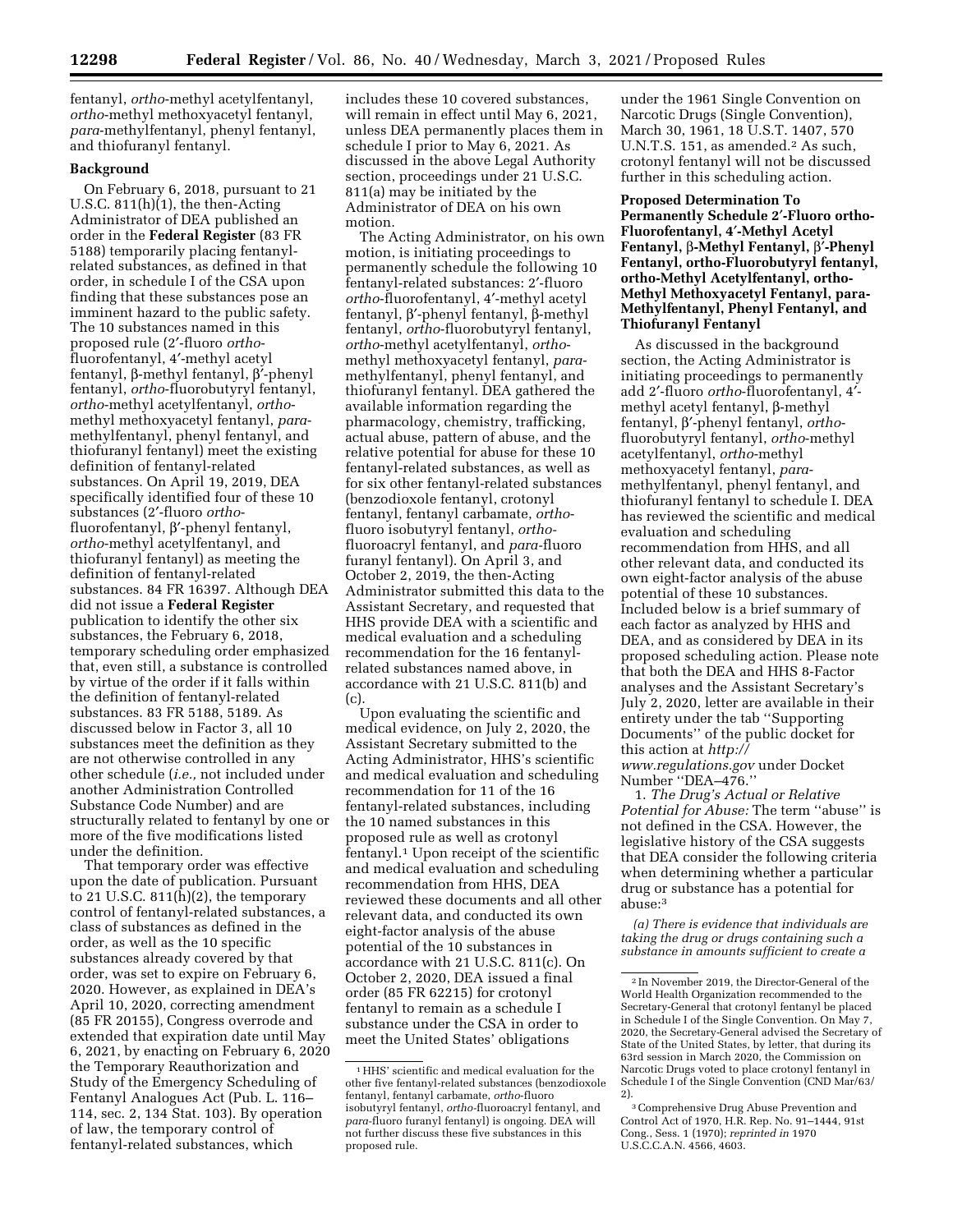fentanyl, *ortho*-methyl acetylfentanyl, *ortho*-methyl methoxyacetyl fentanyl, *para*-methylfentanyl, phenyl fentanyl, and thiofuranyl fentanyl.

# **Background**

On February 6, 2018, pursuant to 21 U.S.C.  $811(h)(1)$ , the then-Acting Administrator of DEA published an order in the **Federal Register** (83 FR 5188) temporarily placing fentanylrelated substances, as defined in that order, in schedule I of the CSA upon finding that these substances pose an imminent hazard to the public safety. The 10 substances named in this proposed rule (2′-fluoro *ortho*fluorofentanyl, 4′-methyl acetyl fentanyl, b-methyl fentanyl, b′-phenyl fentanyl, *ortho*-fluorobutyryl fentanyl, *ortho*-methyl acetylfentanyl, *ortho*methyl methoxyacetyl fentanyl, *para*methylfentanyl, phenyl fentanyl, and thiofuranyl fentanyl) meet the existing definition of fentanyl-related substances. On April 19, 2019, DEA specifically identified four of these 10 substances (2′-fluoro *ortho*fluorofentanyl, b′-phenyl fentanyl, *ortho*-methyl acetylfentanyl, and thiofuranyl fentanyl) as meeting the definition of fentanyl-related substances. 84 FR 16397. Although DEA did not issue a **Federal Register**  publication to identify the other six substances, the February 6, 2018, temporary scheduling order emphasized that, even still, a substance is controlled by virtue of the order if it falls within the definition of fentanyl-related substances. 83 FR 5188, 5189. As discussed below in Factor 3, all 10 substances meet the definition as they are not otherwise controlled in any other schedule (*i.e.,* not included under another Administration Controlled Substance Code Number) and are structurally related to fentanyl by one or more of the five modifications listed under the definition.

That temporary order was effective upon the date of publication. Pursuant to 21 U.S.C. 811(h)(2), the temporary control of fentanyl-related substances, a class of substances as defined in the order, as well as the 10 specific substances already covered by that order, was set to expire on February 6, 2020. However, as explained in DEA's April 10, 2020, correcting amendment (85 FR 20155), Congress overrode and extended that expiration date until May 6, 2021, by enacting on February 6, 2020 the Temporary Reauthorization and Study of the Emergency Scheduling of Fentanyl Analogues Act (Pub. L. 116– 114, sec. 2, 134 Stat. 103). By operation of law, the temporary control of fentanyl-related substances, which

includes these 10 covered substances, will remain in effect until May 6, 2021, unless DEA permanently places them in schedule I prior to May 6, 2021. As discussed in the above Legal Authority section, proceedings under 21 U.S.C. 811(a) may be initiated by the Administrator of DEA on his own motion.

The Acting Administrator, on his own motion, is initiating proceedings to permanently schedule the following 10 fentanyl-related substances: 2′-fluoro *ortho*-fluorofentanyl, 4′-methyl acetyl fentanyl, b′-phenyl fentanyl, b-methyl fentanyl, *ortho*-fluorobutyryl fentanyl, *ortho*-methyl acetylfentanyl, *ortho*methyl methoxyacetyl fentanyl, *para*methylfentanyl, phenyl fentanyl, and thiofuranyl fentanyl. DEA gathered the available information regarding the pharmacology, chemistry, trafficking, actual abuse, pattern of abuse, and the relative potential for abuse for these 10 fentanyl-related substances, as well as for six other fentanyl-related substances (benzodioxole fentanyl, crotonyl fentanyl, fentanyl carbamate, *ortho*fluoro isobutyryl fentanyl, *ortho*fluoroacryl fentanyl, and *para-*fluoro furanyl fentanyl). On April 3, and October 2, 2019, the then-Acting Administrator submitted this data to the Assistant Secretary, and requested that HHS provide DEA with a scientific and medical evaluation and a scheduling recommendation for the 16 fentanylrelated substances named above, in accordance with 21 U.S.C. 811(b) and (c).

Upon evaluating the scientific and medical evidence, on July 2, 2020, the Assistant Secretary submitted to the Acting Administrator, HHS's scientific and medical evaluation and scheduling recommendation for 11 of the 16 fentanyl-related substances, including the 10 named substances in this proposed rule as well as crotonyl fentanyl.1 Upon receipt of the scientific and medical evaluation and scheduling recommendation from HHS, DEA reviewed these documents and all other relevant data, and conducted its own eight-factor analysis of the abuse potential of the 10 substances in accordance with 21 U.S.C. 811(c). On October 2, 2020, DEA issued a final order (85 FR 62215) for crotonyl fentanyl to remain as a schedule I substance under the CSA in order to meet the United States' obligations

under the 1961 Single Convention on Narcotic Drugs (Single Convention), March 30, 1961, 18 U.S.T. 1407, 570 U.N.T.S. 151, as amended.<sup>2</sup> As such, crotonyl fentanyl will not be discussed further in this scheduling action.

**Proposed Determination To Permanently Schedule 2**′**-Fluoro ortho-Fluorofentanyl, 4**′**-Methyl Acetyl Fentanyl,** b**-Methyl Fentanyl,** b′**-Phenyl Fentanyl, ortho-Fluorobutyryl fentanyl, ortho-Methyl Acetylfentanyl, ortho-Methyl Methoxyacetyl Fentanyl, para-Methylfentanyl, Phenyl Fentanyl, and Thiofuranyl Fentanyl** 

As discussed in the background section, the Acting Administrator is initiating proceedings to permanently add 2′-fluoro *ortho*-fluorofentanyl, 4′ methyl acetyl fentanyl,  $\beta$ -methyl fentanyl, b′-phenyl fentanyl, *ortho*fluorobutyryl fentanyl, *ortho*-methyl acetylfentanyl, *ortho*-methyl methoxyacetyl fentanyl, *para*methylfentanyl, phenyl fentanyl, and thiofuranyl fentanyl to schedule I. DEA has reviewed the scientific and medical evaluation and scheduling recommendation from HHS, and all other relevant data, and conducted its own eight-factor analysis of the abuse potential of these 10 substances. Included below is a brief summary of each factor as analyzed by HHS and DEA, and as considered by DEA in its proposed scheduling action. Please note that both the DEA and HHS 8-Factor analyses and the Assistant Secretary's July 2, 2020, letter are available in their entirety under the tab ''Supporting Documents'' of the public docket for this action at *[http://](http://www.regulations.gov) [www.regulations.gov](http://www.regulations.gov)* under Docket

Number ''DEA–476.''

1. *The Drug's Actual or Relative Potential for Abuse:* The term ''abuse'' is not defined in the CSA. However, the legislative history of the CSA suggests that DEA consider the following criteria when determining whether a particular drug or substance has a potential for abuse:3

*(a) There is evidence that individuals are taking the drug or drugs containing such a substance in amounts sufficient to create a* 

<sup>1</sup>HHS' scientific and medical evaluation for the other five fentanyl-related substances (benzodioxole fentanyl, fentanyl carbamate, *ortho*-fluoro isobutyryl fentanyl, *ortho-*fluoroacryl fentanyl, and *para-*fluoro furanyl fentanyl) is ongoing. DEA will not further discuss these five substances in this proposed rule.

<sup>2</sup> In November 2019, the Director-General of the World Health Organization recommended to the Secretary-General that crotonyl fentanyl be placed in Schedule I of the Single Convention. On May 7, 2020, the Secretary-General advised the Secretary of State of the United States, by letter, that during its 63rd session in March 2020, the Commission on Narcotic Drugs voted to place crotonyl fentanyl in Schedule I of the Single Convention (CND Mar/63/ 2).

<sup>3</sup>Comprehensive Drug Abuse Prevention and Control Act of 1970, H.R. Rep. No. 91–1444, 91st Cong., Sess. 1 (1970); *reprinted in* 1970 U.S.C.C.A.N. 4566, 4603.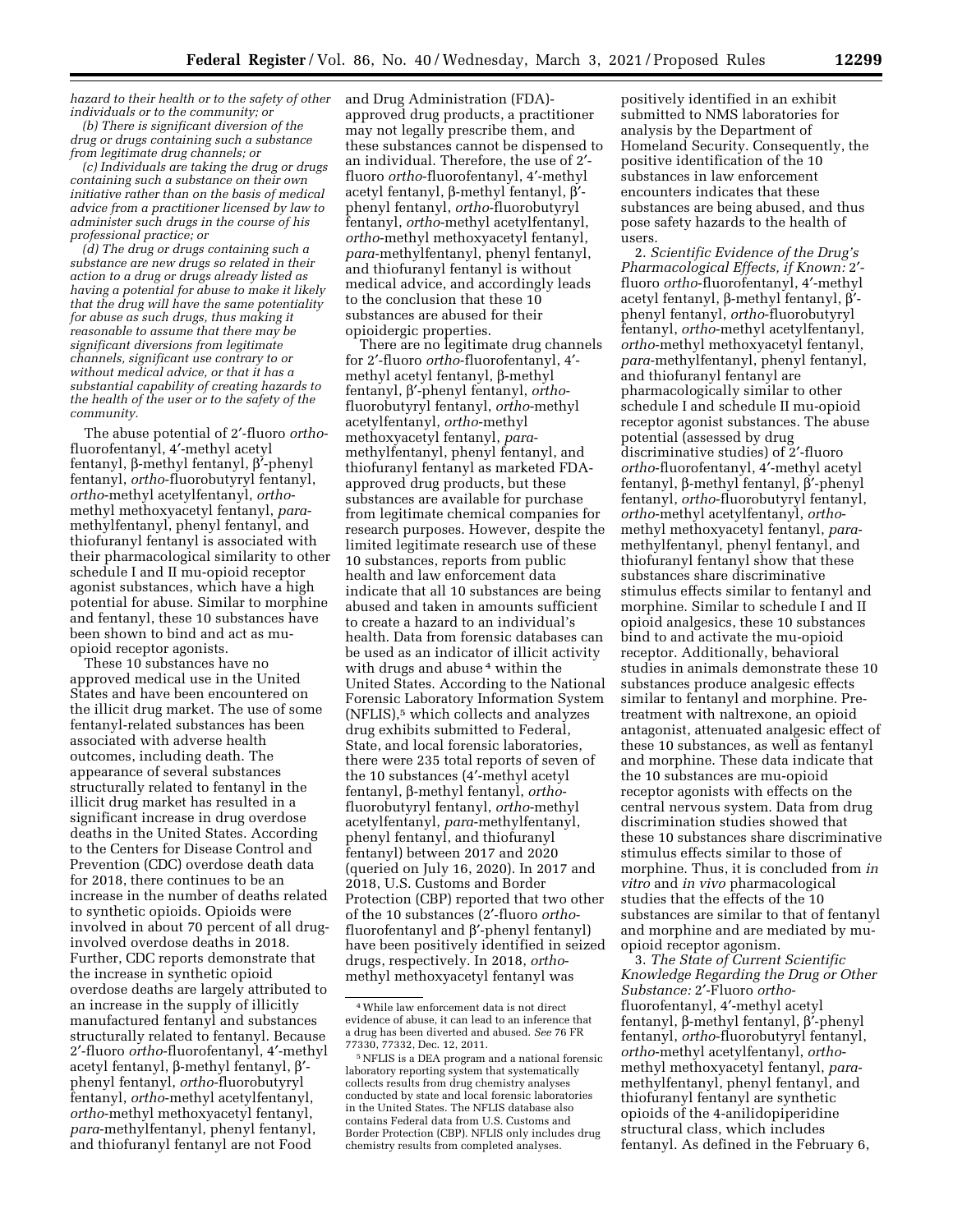*hazard to their health or to the safety of other individuals or to the community; or (b) There is significant diversion of the* 

*drug or drugs containing such a substance from legitimate drug channels; or* 

*(c) Individuals are taking the drug or drugs containing such a substance on their own initiative rather than on the basis of medical advice from a practitioner licensed by law to administer such drugs in the course of his professional practice; or* 

*(d) The drug or drugs containing such a substance are new drugs so related in their action to a drug or drugs already listed as having a potential for abuse to make it likely that the drug will have the same potentiality for abuse as such drugs, thus making it reasonable to assume that there may be significant diversions from legitimate channels, significant use contrary to or without medical advice, or that it has a substantial capability of creating hazards to the health of the user or to the safety of the community.* 

The abuse potential of 2′-fluoro *ortho*fluorofentanyl, 4′-methyl acetyl fentanyl, b-methyl fentanyl, b′-phenyl fentanyl, *ortho*-fluorobutyryl fentanyl, *ortho*-methyl acetylfentanyl, *ortho*methyl methoxyacetyl fentanyl, *para*methylfentanyl, phenyl fentanyl, and thiofuranyl fentanyl is associated with their pharmacological similarity to other schedule I and II mu-opioid receptor agonist substances, which have a high potential for abuse. Similar to morphine and fentanyl, these 10 substances have been shown to bind and act as muopioid receptor agonists.

These 10 substances have no approved medical use in the United States and have been encountered on the illicit drug market. The use of some fentanyl-related substances has been associated with adverse health outcomes, including death. The appearance of several substances structurally related to fentanyl in the illicit drug market has resulted in a significant increase in drug overdose deaths in the United States. According to the Centers for Disease Control and Prevention (CDC) overdose death data for 2018, there continues to be an increase in the number of deaths related to synthetic opioids. Opioids were involved in about 70 percent of all druginvolved overdose deaths in 2018. Further, CDC reports demonstrate that the increase in synthetic opioid overdose deaths are largely attributed to an increase in the supply of illicitly manufactured fentanyl and substances structurally related to fentanyl. Because 2′-fluoro *ortho*-fluorofentanyl, 4′-methyl acetyl fentanyl, b-methyl fentanyl, b′ phenyl fentanyl, *ortho*-fluorobutyryl fentanyl, *ortho*-methyl acetylfentanyl, *ortho*-methyl methoxyacetyl fentanyl, *para*-methylfentanyl, phenyl fentanyl, and thiofuranyl fentanyl are not Food

and Drug Administration (FDA) approved drug products, a practitioner may not legally prescribe them, and these substances cannot be dispensed to an individual. Therefore, the use of 2′ fluoro *ortho*-fluorofentanyl, 4′-methyl acetyl fentanyl, b-methyl fentanyl, b′ phenyl fentanyl, *ortho*-fluorobutyryl fentanyl, *ortho*-methyl acetylfentanyl, *ortho*-methyl methoxyacetyl fentanyl, *para*-methylfentanyl, phenyl fentanyl, and thiofuranyl fentanyl is without medical advice, and accordingly leads to the conclusion that these 10 substances are abused for their opioidergic properties.

There are no legitimate drug channels for 2′-fluoro *ortho*-fluorofentanyl, 4′ methyl acetyl fentanyl, b-methyl fentanyl, b′-phenyl fentanyl, *ortho*fluorobutyryl fentanyl, *ortho*-methyl acetylfentanyl, *ortho*-methyl methoxyacetyl fentanyl, *para*methylfentanyl, phenyl fentanyl, and thiofuranyl fentanyl as marketed FDAapproved drug products, but these substances are available for purchase from legitimate chemical companies for research purposes. However, despite the limited legitimate research use of these 10 substances, reports from public health and law enforcement data indicate that all 10 substances are being abused and taken in amounts sufficient to create a hazard to an individual's health. Data from forensic databases can be used as an indicator of illicit activity with drugs and abuse<sup>4</sup> within the United States. According to the National Forensic Laboratory Information System (NFLIS),5 which collects and analyzes drug exhibits submitted to Federal, State, and local forensic laboratories, there were 235 total reports of seven of the 10 substances (4′-methyl acetyl fentanyl, b-methyl fentanyl, *ortho*fluorobutyryl fentanyl, *ortho*-methyl acetylfentanyl, *para*-methylfentanyl, phenyl fentanyl, and thiofuranyl fentanyl) between 2017 and 2020 (queried on July 16, 2020). In 2017 and 2018, U.S. Customs and Border Protection (CBP) reported that two other of the 10 substances (2′-fluoro *ortho*fluorofentanyl and  $\beta'$ -phenyl fentanyl) have been positively identified in seized drugs, respectively. In 2018, *ortho*methyl methoxyacetyl fentanyl was

positively identified in an exhibit submitted to NMS laboratories for analysis by the Department of Homeland Security. Consequently, the positive identification of the 10 substances in law enforcement encounters indicates that these substances are being abused, and thus pose safety hazards to the health of users.

2. *Scientific Evidence of the Drug's Pharmacological Effects, if Known:* 2′ fluoro *ortho*-fluorofentanyl, 4′-methyl acetyl fentanyl, β-methyl fentanyl,  $β'$ phenyl fentanyl, *ortho*-fluorobutyryl fentanyl, *ortho*-methyl acetylfentanyl, *ortho*-methyl methoxyacetyl fentanyl, *para*-methylfentanyl, phenyl fentanyl, and thiofuranyl fentanyl are pharmacologically similar to other schedule I and schedule II mu-opioid receptor agonist substances. The abuse potential (assessed by drug discriminative studies) of 2′-fluoro *ortho*-fluorofentanyl, 4′-methyl acetyl fentanyl, b-methyl fentanyl, b′-phenyl fentanyl, *ortho*-fluorobutyryl fentanyl, *ortho*-methyl acetylfentanyl, *ortho*methyl methoxyacetyl fentanyl, *para*methylfentanyl, phenyl fentanyl, and thiofuranyl fentanyl show that these substances share discriminative stimulus effects similar to fentanyl and morphine. Similar to schedule I and II opioid analgesics, these 10 substances bind to and activate the mu-opioid receptor. Additionally, behavioral studies in animals demonstrate these 10 substances produce analgesic effects similar to fentanyl and morphine. Pretreatment with naltrexone, an opioid antagonist, attenuated analgesic effect of these 10 substances, as well as fentanyl and morphine. These data indicate that the 10 substances are mu-opioid receptor agonists with effects on the central nervous system. Data from drug discrimination studies showed that these 10 substances share discriminative stimulus effects similar to those of morphine. Thus, it is concluded from *in vitro* and *in vivo* pharmacological studies that the effects of the 10 substances are similar to that of fentanyl and morphine and are mediated by muopioid receptor agonism.

3. *The State of Current Scientific Knowledge Regarding the Drug or Other Substance:* 2′-Fluoro *ortho*fluorofentanyl, 4′-methyl acetyl fentanyl, b-methyl fentanyl, b′-phenyl fentanyl, *ortho*-fluorobutyryl fentanyl, *ortho*-methyl acetylfentanyl, *ortho*methyl methoxyacetyl fentanyl, *para*methylfentanyl, phenyl fentanyl, and thiofuranyl fentanyl are synthetic opioids of the 4-anilidopiperidine structural class, which includes fentanyl. As defined in the February 6,

<sup>4</sup>While law enforcement data is not direct evidence of abuse, it can lead to an inference that a drug has been diverted and abused. *See* 76 FR 77330, 77332, Dec. 12, 2011.

<sup>5</sup>NFLIS is a DEA program and a national forensic laboratory reporting system that systematically collects results from drug chemistry analyses conducted by state and local forensic laboratories in the United States. The NFLIS database also contains Federal data from U.S. Customs and Border Protection (CBP). NFLIS only includes drug chemistry results from completed analyses.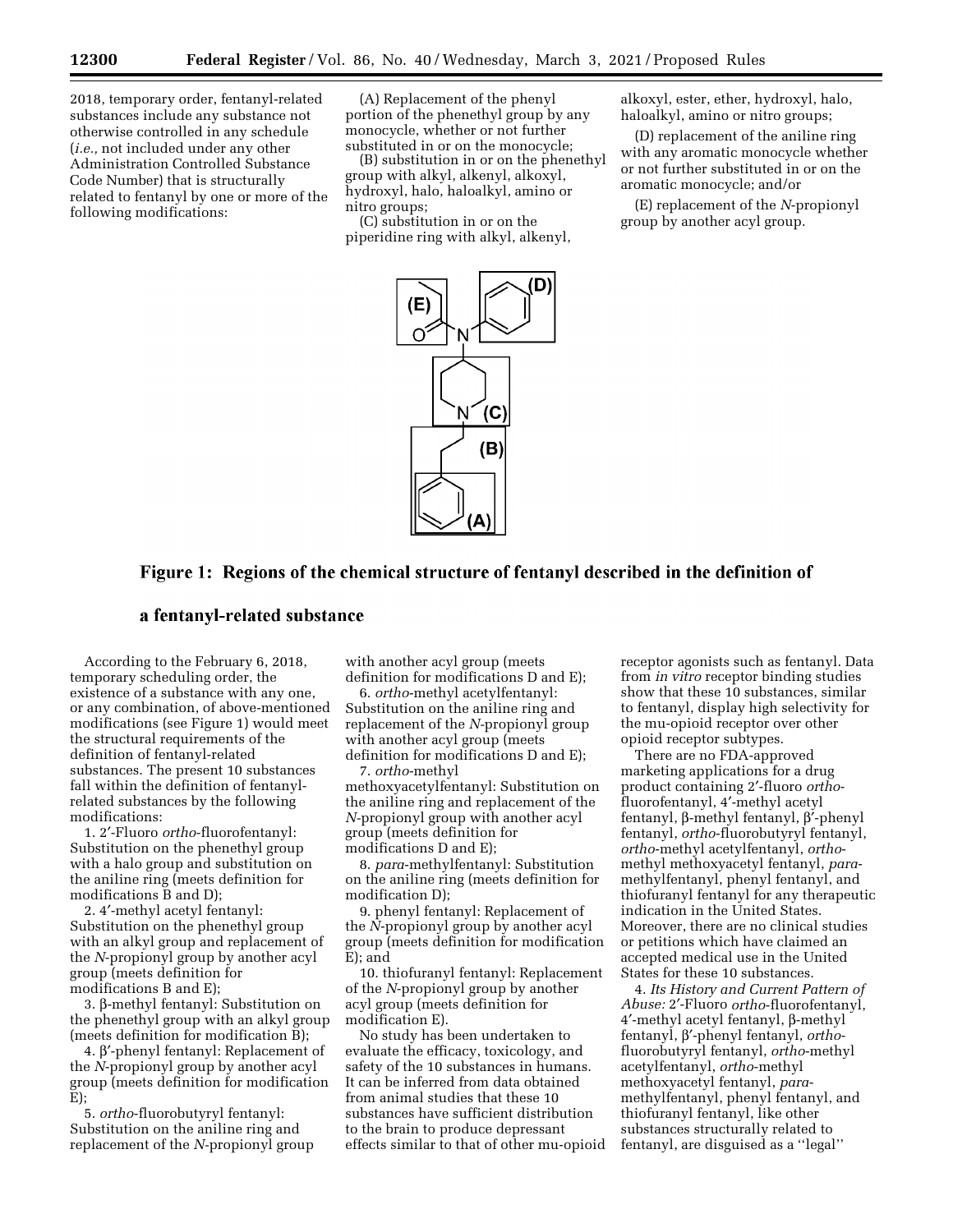2018, temporary order, fentanyl-related substances include any substance not otherwise controlled in any schedule (*i.e.,* not included under any other Administration Controlled Substance Code Number) that is structurally related to fentanyl by one or more of the following modifications:

(A) Replacement of the phenyl portion of the phenethyl group by any monocycle, whether or not further substituted in or on the monocycle;

(B) substitution in or on the phenethyl group with alkyl, alkenyl, alkoxyl, hydroxyl, halo, haloalkyl, amino or nitro groups;

(C) substitution in or on the piperidine ring with alkyl, alkenyl, alkoxyl, ester, ether, hydroxyl, halo, haloalkyl, amino or nitro groups;

(D) replacement of the aniline ring with any aromatic monocycle whether or not further substituted in or on the aromatic monocycle; and/or

(E) replacement of the *N*-propionyl group by another acyl group.



# Figure 1: Regions of the chemical structure of fentanyl described in the definition of

# a fentanyl-related substance

According to the February 6, 2018, temporary scheduling order, the existence of a substance with any one, or any combination, of above-mentioned modifications (see Figure 1) would meet the structural requirements of the definition of fentanyl-related substances. The present 10 substances fall within the definition of fentanylrelated substances by the following modifications:

1. 2′-Fluoro *ortho*-fluorofentanyl: Substitution on the phenethyl group with a halo group and substitution on the aniline ring (meets definition for modifications B and D);

2. 4′-methyl acetyl fentanyl: Substitution on the phenethyl group with an alkyl group and replacement of the *N*-propionyl group by another acyl group (meets definition for modifications B and E);

3. b-methyl fentanyl: Substitution on the phenethyl group with an alkyl group (meets definition for modification B);

4. b′-phenyl fentanyl: Replacement of the *N*-propionyl group by another acyl group (meets definition for modification  $\mathrm{\tilde{E}}$ );

5. *ortho*-fluorobutyryl fentanyl: Substitution on the aniline ring and replacement of the *N-*propionyl group with another acyl group (meets definition for modifications D and E);

6. *ortho*-methyl acetylfentanyl: Substitution on the aniline ring and replacement of the *N-*propionyl group with another acyl group (meets definition for modifications D and E);

7. *ortho*-methyl methoxyacetylfentanyl: Substitution on the aniline ring and replacement of the *N-*propionyl group with another acyl group (meets definition for modifications D and E);

8. *para*-methylfentanyl: Substitution on the aniline ring (meets definition for modification D);

9. phenyl fentanyl: Replacement of the *N*-propionyl group by another acyl group (meets definition for modification E); and

10. thiofuranyl fentanyl: Replacement of the *N*-propionyl group by another acyl group (meets definition for modification E).

No study has been undertaken to evaluate the efficacy, toxicology, and safety of the 10 substances in humans. It can be inferred from data obtained from animal studies that these 10 substances have sufficient distribution to the brain to produce depressant effects similar to that of other mu-opioid receptor agonists such as fentanyl. Data from *in vitro* receptor binding studies show that these 10 substances, similar to fentanyl, display high selectivity for the mu-opioid receptor over other opioid receptor subtypes.

There are no FDA-approved marketing applications for a drug product containing 2′-fluoro *ortho*fluorofentanyl, 4′-methyl acetyl fentanyl, b-methyl fentanyl, b′-phenyl fentanyl, *ortho*-fluorobutyryl fentanyl, *ortho*-methyl acetylfentanyl, *ortho*methyl methoxyacetyl fentanyl, *para*methylfentanyl, phenyl fentanyl, and thiofuranyl fentanyl for any therapeutic indication in the United States. Moreover, there are no clinical studies or petitions which have claimed an accepted medical use in the United States for these 10 substances.

4. *Its History and Current Pattern of Abuse:* 2′-Fluoro *ortho*-fluorofentanyl, 4′-methyl acetyl fentanyl, b-methyl fentanyl, b′-phenyl fentanyl, *ortho*fluorobutyryl fentanyl, *ortho*-methyl acetylfentanyl, *ortho*-methyl methoxyacetyl fentanyl, *para*methylfentanyl, phenyl fentanyl, and thiofuranyl fentanyl, like other substances structurally related to fentanyl, are disguised as a ''legal''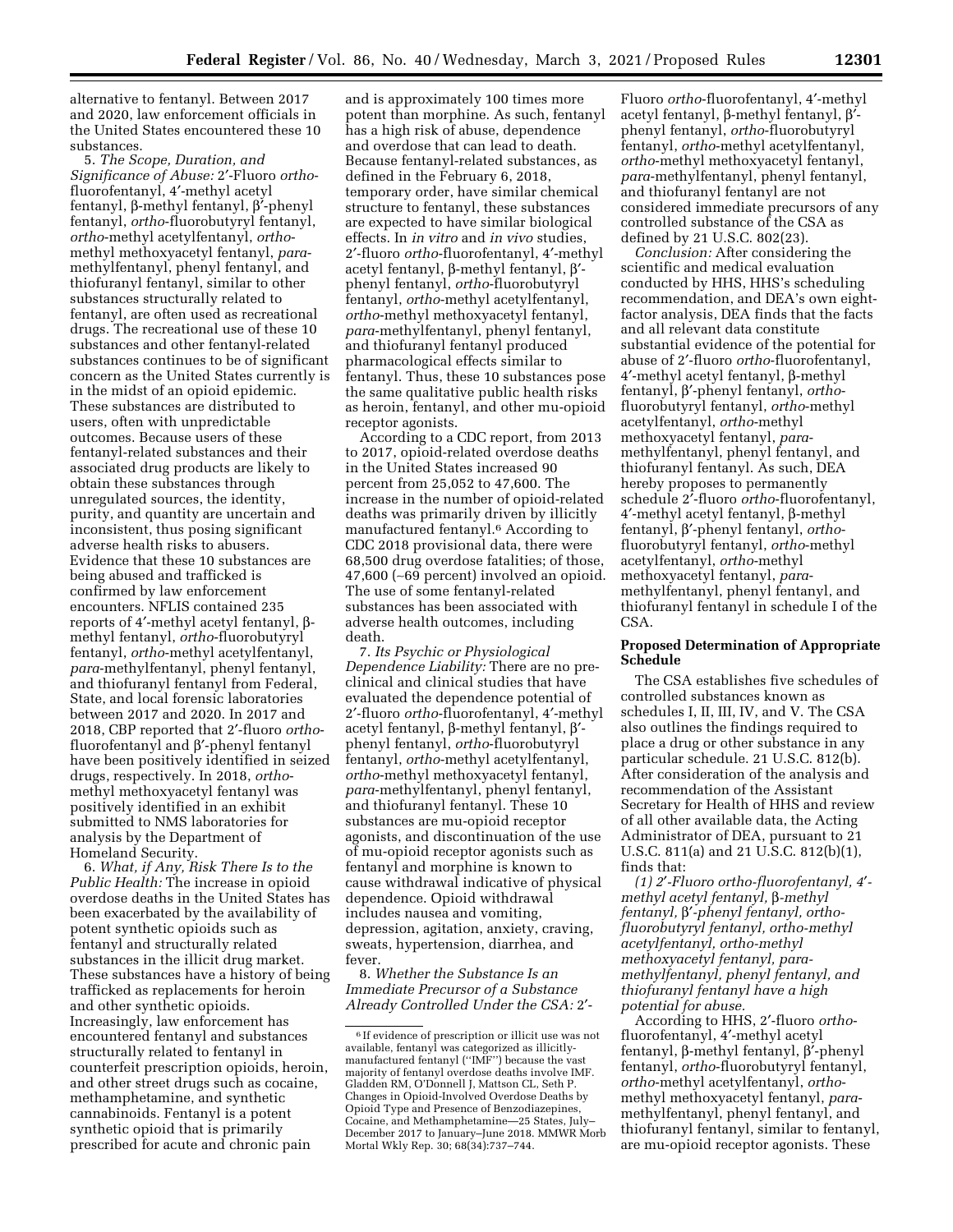alternative to fentanyl. Between 2017 and 2020, law enforcement officials in the United States encountered these 10 substances.

5. *The Scope, Duration, and Significance of Abuse:* 2′-Fluoro *ortho*fluorofentanyl, 4′-methyl acetyl fentanyl, b-methyl fentanyl, b′-phenyl fentanyl, *ortho*-fluorobutyryl fentanyl, *ortho*-methyl acetylfentanyl, *ortho*methyl methoxyacetyl fentanyl, *para*methylfentanyl, phenyl fentanyl, and thiofuranyl fentanyl, similar to other substances structurally related to fentanyl, are often used as recreational drugs. The recreational use of these 10 substances and other fentanyl-related substances continues to be of significant concern as the United States currently is in the midst of an opioid epidemic. These substances are distributed to users, often with unpredictable outcomes. Because users of these fentanyl-related substances and their associated drug products are likely to obtain these substances through unregulated sources, the identity, purity, and quantity are uncertain and inconsistent, thus posing significant adverse health risks to abusers. Evidence that these 10 substances are being abused and trafficked is confirmed by law enforcement encounters. NFLIS contained 235 reports of 4′-methyl acetyl fentanyl, bmethyl fentanyl, *ortho*-fluorobutyryl fentanyl, *ortho*-methyl acetylfentanyl, *para*-methylfentanyl, phenyl fentanyl, and thiofuranyl fentanyl from Federal, State, and local forensic laboratories between 2017 and 2020. In 2017 and 2018, CBP reported that 2′-fluoro *ortho*fluorofentanyl and  $\beta'$ -phenyl fentanyl have been positively identified in seized drugs, respectively. In 2018, *ortho*methyl methoxyacetyl fentanyl was positively identified in an exhibit submitted to NMS laboratories for analysis by the Department of Homeland Security.

6. *What, if Any, Risk There Is to the Public Health:* The increase in opioid overdose deaths in the United States has been exacerbated by the availability of potent synthetic opioids such as fentanyl and structurally related substances in the illicit drug market. These substances have a history of being trafficked as replacements for heroin and other synthetic opioids. Increasingly, law enforcement has encountered fentanyl and substances structurally related to fentanyl in counterfeit prescription opioids, heroin, and other street drugs such as cocaine, methamphetamine, and synthetic cannabinoids. Fentanyl is a potent synthetic opioid that is primarily prescribed for acute and chronic pain

and is approximately 100 times more potent than morphine. As such, fentanyl has a high risk of abuse, dependence and overdose that can lead to death. Because fentanyl-related substances, as defined in the February 6, 2018, temporary order, have similar chemical structure to fentanyl, these substances are expected to have similar biological effects. In *in vitro* and *in vivo* studies, 2′-fluoro *ortho*-fluorofentanyl, 4′-methyl acetyl fentanyl, β-methyl fentanyl, β'phenyl fentanyl, *ortho*-fluorobutyryl fentanyl, *ortho*-methyl acetylfentanyl, *ortho*-methyl methoxyacetyl fentanyl, *para*-methylfentanyl, phenyl fentanyl, and thiofuranyl fentanyl produced pharmacological effects similar to fentanyl. Thus, these 10 substances pose the same qualitative public health risks as heroin, fentanyl, and other mu-opioid receptor agonists.

According to a CDC report, from 2013 to 2017, opioid-related overdose deaths in the United States increased 90 percent from 25,052 to 47,600. The increase in the number of opioid-related deaths was primarily driven by illicitly manufactured fentanyl.6 According to CDC 2018 provisional data, there were 68,500 drug overdose fatalities; of those, 47,600 (∼69 percent) involved an opioid. The use of some fentanyl-related substances has been associated with adverse health outcomes, including death.

7. *Its Psychic or Physiological Dependence Liability:* There are no preclinical and clinical studies that have evaluated the dependence potential of 2′-fluoro *ortho*-fluorofentanyl, 4′-methyl acetyl fentanyl, β-methyl fentanyl, β'phenyl fentanyl, *ortho*-fluorobutyryl fentanyl, *ortho*-methyl acetylfentanyl, *ortho*-methyl methoxyacetyl fentanyl, *para*-methylfentanyl, phenyl fentanyl, and thiofuranyl fentanyl. These 10 substances are mu-opioid receptor agonists, and discontinuation of the use of mu-opioid receptor agonists such as fentanyl and morphine is known to cause withdrawal indicative of physical dependence. Opioid withdrawal includes nausea and vomiting, depression, agitation, anxiety, craving, sweats, hypertension, diarrhea, and fever.

8. *Whether the Substance Is an Immediate Precursor of a Substance Already Controlled Under the CSA:* 2′-

Fluoro *ortho*-fluorofentanyl, 4′-methyl acetyl fentanyl, β-methyl fentanyl,  $β'$ phenyl fentanyl, *ortho*-fluorobutyryl fentanyl, *ortho*-methyl acetylfentanyl, *ortho*-methyl methoxyacetyl fentanyl, *para*-methylfentanyl, phenyl fentanyl, and thiofuranyl fentanyl are not considered immediate precursors of any controlled substance of the CSA as defined by 21 U.S.C. 802(23).

*Conclusion:* After considering the scientific and medical evaluation conducted by HHS, HHS's scheduling recommendation, and DEA's own eightfactor analysis, DEA finds that the facts and all relevant data constitute substantial evidence of the potential for abuse of 2′-fluoro *ortho*-fluorofentanyl,  $4'$ -methyl acetyl fentanyl, β-methyl fentanyl, b′-phenyl fentanyl, *ortho*fluorobutyryl fentanyl, *ortho*-methyl acetylfentanyl, *ortho*-methyl methoxyacetyl fentanyl, *para*methylfentanyl, phenyl fentanyl, and thiofuranyl fentanyl. As such, DEA hereby proposes to permanently schedule 2′-fluoro *ortho*-fluorofentanyl,  $4'$ -methyl acetyl fentanyl, β-methyl fentanyl, b′-phenyl fentanyl, *ortho*fluorobutyryl fentanyl, *ortho*-methyl acetylfentanyl, *ortho*-methyl methoxyacetyl fentanyl, *para*methylfentanyl, phenyl fentanyl, and thiofuranyl fentanyl in schedule I of the CSA.

### **Proposed Determination of Appropriate Schedule**

The CSA establishes five schedules of controlled substances known as schedules I, II, III, IV, and V. The CSA also outlines the findings required to place a drug or other substance in any particular schedule. 21 U.S.C. 812(b). After consideration of the analysis and recommendation of the Assistant Secretary for Health of HHS and review of all other available data, the Acting Administrator of DEA, pursuant to 21 U.S.C. 811(a) and 21 U.S.C. 812(b)(1), finds that:

*(1) 2*′*-Fluoro ortho-fluorofentanyl, 4*′ *methyl acetyl fentanyl,* b*-methyl fentanyl,* b′*-phenyl fentanyl, orthofluorobutyryl fentanyl, ortho-methyl acetylfentanyl, ortho-methyl methoxyacetyl fentanyl, paramethylfentanyl, phenyl fentanyl, and thiofuranyl fentanyl have a high potential for abuse.* 

According to HHS, 2′-fluoro *ortho*fluorofentanyl, 4′-methyl acetyl fentanyl, b-methyl fentanyl, b′-phenyl fentanyl, *ortho*-fluorobutyryl fentanyl, *ortho*-methyl acetylfentanyl, *ortho*methyl methoxyacetyl fentanyl, *para*methylfentanyl, phenyl fentanyl, and thiofuranyl fentanyl, similar to fentanyl, are mu-opioid receptor agonists. These

<sup>6</sup> If evidence of prescription or illicit use was not available, fentanyl was categorized as illicitlymanufactured fentanyl (''IMF'') because the vast majority of fentanyl overdose deaths involve IMF. Gladden RM, O'Donnell J, Mattson CL, Seth P. Changes in Opioid-Involved Overdose Deaths by Opioid Type and Presence of Benzodiazepines, Cocaine, and Methamphetamine—25 States, July– December 2017 to January–June 2018. MMWR Morb Mortal Wkly Rep. 30; 68(34):737–744.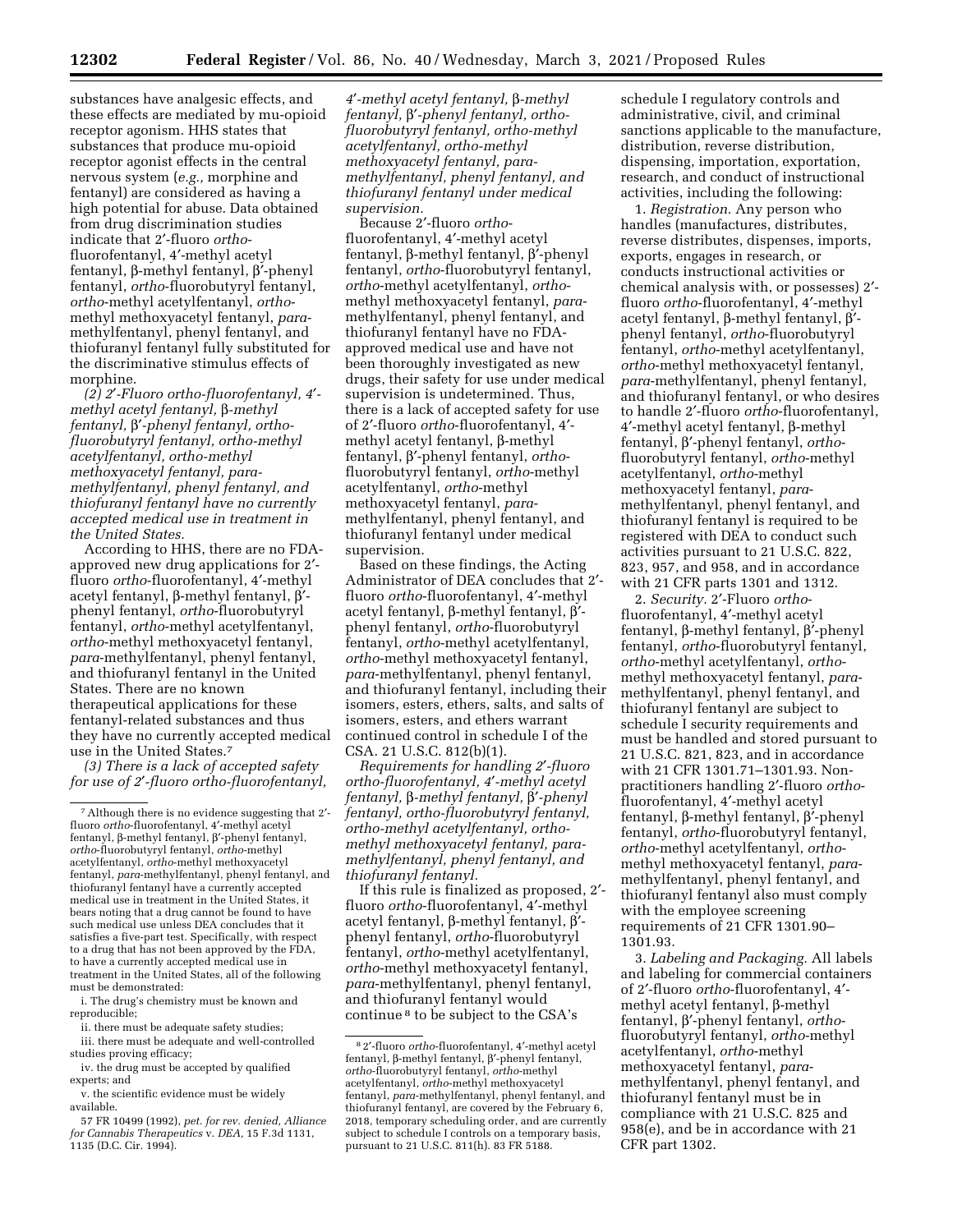substances have analgesic effects, and these effects are mediated by mu-opioid receptor agonism. HHS states that substances that produce mu-opioid receptor agonist effects in the central nervous system (*e.g.,* morphine and fentanyl) are considered as having a high potential for abuse. Data obtained from drug discrimination studies indicate that 2′-fluoro *ortho*fluorofentanyl, 4′-methyl acetyl fentanyl, b-methyl fentanyl, b′-phenyl fentanyl, *ortho*-fluorobutyryl fentanyl, *ortho*-methyl acetylfentanyl, *ortho*methyl methoxyacetyl fentanyl, *para*methylfentanyl, phenyl fentanyl, and thiofuranyl fentanyl fully substituted for the discriminative stimulus effects of morphine.

*(2) 2*′*-Fluoro ortho-fluorofentanyl, 4*′ *methyl acetyl fentanyl,* b*-methyl fentanyl,* b′*-phenyl fentanyl, orthofluorobutyryl fentanyl, ortho-methyl acetylfentanyl, ortho-methyl methoxyacetyl fentanyl, paramethylfentanyl, phenyl fentanyl, and thiofuranyl fentanyl have no currently accepted medical use in treatment in the United States.* 

According to HHS, there are no FDAapproved new drug applications for 2′ fluoro *ortho*-fluorofentanyl, 4′-methyl acetyl fentanyl, β-methyl fentanyl,  $β'$ phenyl fentanyl, *ortho*-fluorobutyryl fentanyl, *ortho*-methyl acetylfentanyl, *ortho*-methyl methoxyacetyl fentanyl, *para*-methylfentanyl, phenyl fentanyl, and thiofuranyl fentanyl in the United States. There are no known therapeutical applications for these fentanyl-related substances and thus they have no currently accepted medical use in the United States.7

*(3) There is a lack of accepted safety for use of 2*′*-fluoro ortho-fluorofentanyl,* 

i. The drug's chemistry must be known and reproducible;

ii. there must be adequate safety studies;

iii. there must be adequate and well-controlled studies proving efficacy;

iv. the drug must be accepted by qualified experts; and

57 FR 10499 (1992), *pet. for rev. denied, Alliance for Cannabis Therapeutics* v. *DEA,* 15 F.3d 1131, 1135 (D.C. Cir. 1994).

*4*′*-methyl acetyl fentanyl,* b*-methyl fentanyl,* b′*-phenyl fentanyl, orthofluorobutyryl fentanyl, ortho-methyl acetylfentanyl, ortho-methyl methoxyacetyl fentanyl, paramethylfentanyl, phenyl fentanyl, and thiofuranyl fentanyl under medical supervision.* 

Because 2′-fluoro *ortho*fluorofentanyl, 4′-methyl acetyl fentanyl,  $\beta$ -methyl fentanyl,  $\beta$ '-phenyl fentanyl, *ortho*-fluorobutyryl fentanyl, *ortho*-methyl acetylfentanyl, *ortho*methyl methoxyacetyl fentanyl, *para*methylfentanyl, phenyl fentanyl, and thiofuranyl fentanyl have no FDAapproved medical use and have not been thoroughly investigated as new drugs, their safety for use under medical supervision is undetermined. Thus, there is a lack of accepted safety for use of 2′-fluoro *ortho*-fluorofentanyl, 4′ methyl acetyl fentanyl,  $\beta$ -methyl fentanyl, b′-phenyl fentanyl, *ortho*fluorobutyryl fentanyl, *ortho*-methyl acetylfentanyl, *ortho*-methyl methoxyacetyl fentanyl, *para*methylfentanyl, phenyl fentanyl, and thiofuranyl fentanyl under medical supervision.

Based on these findings, the Acting Administrator of DEA concludes that 2′ fluoro *ortho*-fluorofentanyl, 4′-methyl acetyl fentanyl, b-methyl fentanyl, b′ phenyl fentanyl, *ortho*-fluorobutyryl fentanyl, *ortho*-methyl acetylfentanyl, *ortho*-methyl methoxyacetyl fentanyl, *para*-methylfentanyl, phenyl fentanyl, and thiofuranyl fentanyl, including their isomers, esters, ethers, salts, and salts of isomers, esters, and ethers warrant continued control in schedule I of the CSA. 21 U.S.C. 812(b)(1).

*Requirements for handling 2*′*-fluoro ortho-fluorofentanyl, 4*′*-methyl acetyl fentanyl,* b*-methyl fentanyl,* b′*-phenyl fentanyl, ortho-fluorobutyryl fentanyl, ortho-methyl acetylfentanyl, orthomethyl methoxyacetyl fentanyl, paramethylfentanyl, phenyl fentanyl, and thiofuranyl fentanyl.* 

If this rule is finalized as proposed, 2′ fluoro *ortho*-fluorofentanyl, 4′-methyl acetyl fentanyl, β-methyl fentanyl,  $β'$ phenyl fentanyl, *ortho*-fluorobutyryl fentanyl, *ortho*-methyl acetylfentanyl, *ortho*-methyl methoxyacetyl fentanyl, *para*-methylfentanyl, phenyl fentanyl, and thiofuranyl fentanyl would continue 8 to be subject to the CSA's

schedule I regulatory controls and administrative, civil, and criminal sanctions applicable to the manufacture, distribution, reverse distribution, dispensing, importation, exportation, research, and conduct of instructional activities, including the following:

1. *Registration.* Any person who handles (manufactures, distributes, reverse distributes, dispenses, imports, exports, engages in research, or conducts instructional activities or chemical analysis with, or possesses) 2′ fluoro *ortho*-fluorofentanyl, 4′-methyl acetyl fentanyl, b-methyl fentanyl, b′ phenyl fentanyl, *ortho*-fluorobutyryl fentanyl, *ortho*-methyl acetylfentanyl, *ortho*-methyl methoxyacetyl fentanyl, *para*-methylfentanyl, phenyl fentanyl, and thiofuranyl fentanyl, or who desires to handle 2′-fluoro *ortho*-fluorofentanyl,  $4'$ -methyl acetyl fentanyl, β-methyl fentanyl, b′-phenyl fentanyl, *ortho*fluorobutyryl fentanyl, *ortho*-methyl acetylfentanyl, *ortho*-methyl methoxyacetyl fentanyl, *para*methylfentanyl, phenyl fentanyl, and thiofuranyl fentanyl is required to be registered with DEA to conduct such activities pursuant to 21 U.S.C. 822, 823, 957, and 958, and in accordance with 21 CFR parts 1301 and 1312.

2. *Security.* 2′-Fluoro *ortho*fluorofentanyl, 4′-methyl acetyl fentanyl, b-methyl fentanyl, b′-phenyl fentanyl, *ortho*-fluorobutyryl fentanyl, *ortho*-methyl acetylfentanyl, *ortho*methyl methoxyacetyl fentanyl, *para*methylfentanyl, phenyl fentanyl, and thiofuranyl fentanyl are subject to schedule I security requirements and must be handled and stored pursuant to 21 U.S.C. 821, 823, and in accordance with 21 CFR 1301.71–1301.93. Nonpractitioners handling 2′-fluoro *ortho*fluorofentanyl, 4′-methyl acetyl fentanyl, b-methyl fentanyl, b′-phenyl fentanyl, *ortho*-fluorobutyryl fentanyl, *ortho*-methyl acetylfentanyl, *ortho*methyl methoxyacetyl fentanyl, *para*methylfentanyl, phenyl fentanyl, and thiofuranyl fentanyl also must comply with the employee screening requirements of 21 CFR 1301.90– 1301.93.

3. *Labeling and Packaging.* All labels and labeling for commercial containers of 2′-fluoro *ortho*-fluorofentanyl, 4′ methyl acetyl fentanyl, β-methyl fentanyl, b′-phenyl fentanyl, *ortho*fluorobutyryl fentanyl, *ortho*-methyl acetylfentanyl, *ortho*-methyl methoxyacetyl fentanyl, *para*methylfentanyl, phenyl fentanyl, and thiofuranyl fentanyl must be in compliance with 21 U.S.C. 825 and 958(e), and be in accordance with 21 CFR part 1302.

<sup>7</sup>Although there is no evidence suggesting that 2′ fluoro *ortho*-fluorofentanyl, 4′-methyl acetyl fentanyl, b-methyl fentanyl, b′-phenyl fentanyl, *ortho*-fluorobutyryl fentanyl, *ortho*-methyl acetylfentanyl, *ortho*-methyl methoxyacetyl fentanyl, *para*-methylfentanyl, phenyl fentanyl, and thiofuranyl fentanyl have a currently accepted medical use in treatment in the United States, it bears noting that a drug cannot be found to have such medical use unless DEA concludes that it satisfies a five-part test. Specifically, with respect to a drug that has not been approved by the FDA, to have a currently accepted medical use in treatment in the United States, all of the following must be demonstrated:

v. the scientific evidence must be widely available.

<sup>8</sup> 2′-fluoro *ortho*-fluorofentanyl, 4′-methyl acetyl fentanyl,  $\beta$ -methyl fentanyl,  $\beta$ '-phenyl fentanyl, *ortho*-fluorobutyryl fentanyl, *ortho*-methyl acetylfentanyl, *ortho*-methyl methoxyacetyl fentanyl, *para*-methylfentanyl, phenyl fentanyl, and thiofuranyl fentanyl, are covered by the February 6, 2018, temporary scheduling order, and are currently subject to schedule I controls on a temporary basis, pursuant to 21 U.S.C. 811(h). 83 FR 5188.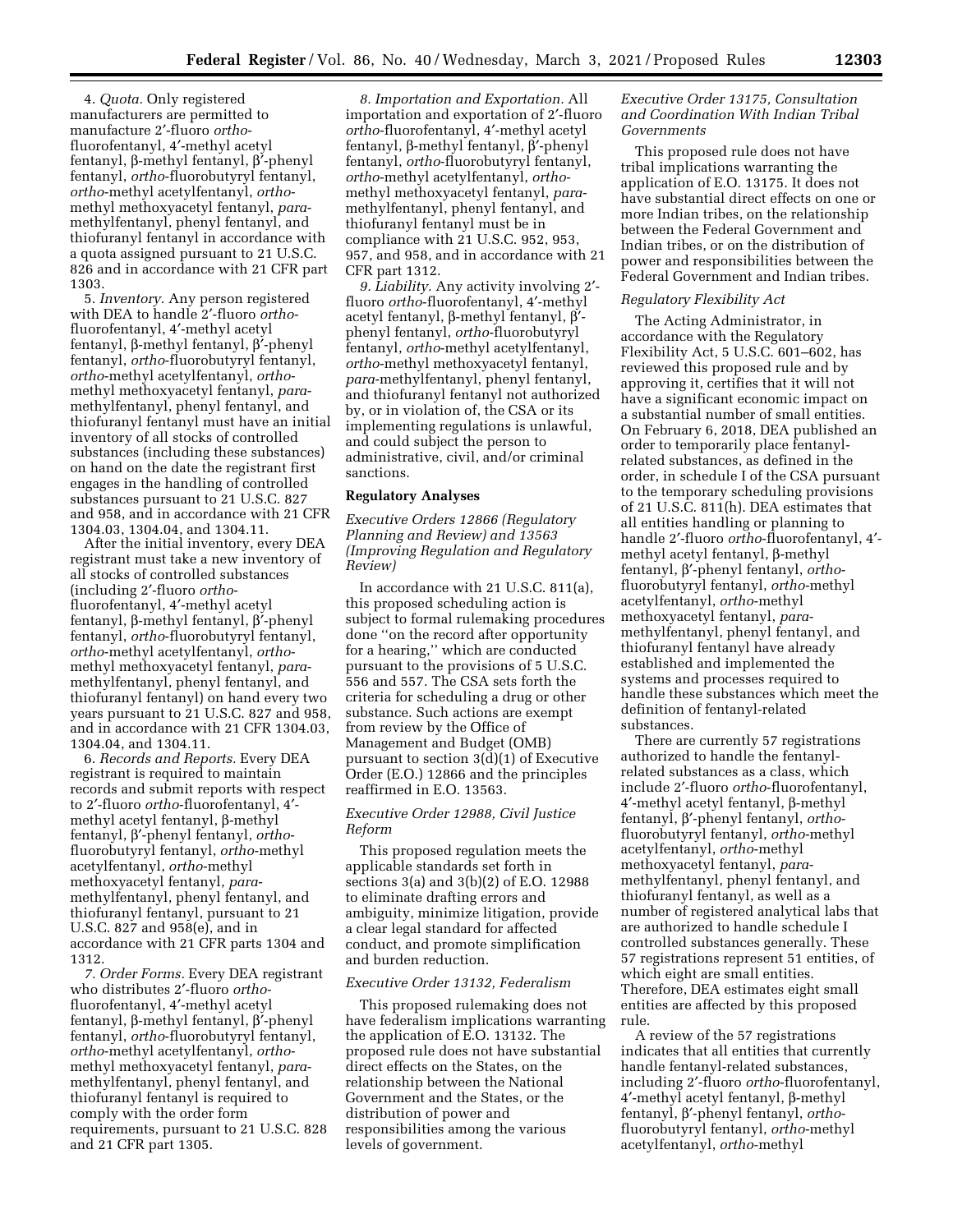4. *Quota.* Only registered manufacturers are permitted to manufacture 2′-fluoro *ortho*fluorofentanyl, 4′-methyl acetyl fentanyl, b-methyl fentanyl, b′-phenyl fentanyl, *ortho*-fluorobutyryl fentanyl, *ortho*-methyl acetylfentanyl, *ortho*methyl methoxyacetyl fentanyl, *para*methylfentanyl, phenyl fentanyl, and thiofuranyl fentanyl in accordance with a quota assigned pursuant to 21 U.S.C. 826 and in accordance with 21 CFR part 1303.

5. *Inventory.* Any person registered with DEA to handle 2′-fluoro *ortho*fluorofentanyl, 4′-methyl acetyl fentanyl, b-methyl fentanyl, b′-phenyl fentanyl, *ortho*-fluorobutyryl fentanyl, *ortho*-methyl acetylfentanyl, *ortho*methyl methoxyacetyl fentanyl, *para*methylfentanyl, phenyl fentanyl, and thiofuranyl fentanyl must have an initial inventory of all stocks of controlled substances (including these substances) on hand on the date the registrant first engages in the handling of controlled substances pursuant to 21 U.S.C. 827 and 958, and in accordance with 21 CFR 1304.03, 1304.04, and 1304.11.

After the initial inventory, every DEA registrant must take a new inventory of all stocks of controlled substances (including 2′-fluoro *ortho*fluorofentanyl, 4′-methyl acetyl fentanyl, b-methyl fentanyl, b′-phenyl fentanyl, *ortho*-fluorobutyryl fentanyl, *ortho*-methyl acetylfentanyl, *ortho*methyl methoxyacetyl fentanyl, *para*methylfentanyl, phenyl fentanyl, and thiofuranyl fentanyl) on hand every two years pursuant to 21 U.S.C. 827 and 958, and in accordance with 21 CFR 1304.03, 1304.04, and 1304.11.

6. *Records and Reports.* Every DEA registrant is required to maintain records and submit reports with respect to 2′-fluoro *ortho*-fluorofentanyl, 4′ methyl acetyl fentanyl,  $\beta$ -methyl fentanyl, b′-phenyl fentanyl, *ortho*fluorobutyryl fentanyl, *ortho*-methyl acetylfentanyl, *ortho*-methyl methoxyacetyl fentanyl, *para*methylfentanyl, phenyl fentanyl, and thiofuranyl fentanyl, pursuant to 21 U.S.C. 827 and 958(e), and in accordance with 21 CFR parts 1304 and 1312.

*7. Order Forms.* Every DEA registrant who distributes 2′-fluoro *ortho*fluorofentanyl, 4′-methyl acetyl fentanyl, b-methyl fentanyl, b′-phenyl fentanyl, *ortho*-fluorobutyryl fentanyl, *ortho*-methyl acetylfentanyl, *ortho*methyl methoxyacetyl fentanyl, *para*methylfentanyl, phenyl fentanyl, and thiofuranyl fentanyl is required to comply with the order form requirements, pursuant to 21 U.S.C. 828 and 21 CFR part 1305.

*8. Importation and Exportation.* All importation and exportation of 2′-fluoro *ortho*-fluorofentanyl, 4′-methyl acetyl fentanyl, b-methyl fentanyl, b′-phenyl fentanyl, *ortho*-fluorobutyryl fentanyl, *ortho*-methyl acetylfentanyl, *ortho*methyl methoxyacetyl fentanyl, *para*methylfentanyl, phenyl fentanyl, and thiofuranyl fentanyl must be in compliance with 21 U.S.C. 952, 953, 957, and 958, and in accordance with 21 CFR part 1312.

*9. Liability.* Any activity involving 2′ fluoro *ortho*-fluorofentanyl, 4′-methyl acetyl fentanyl, β-methyl fentanyl,  $β'$ phenyl fentanyl, *ortho*-fluorobutyryl fentanyl, *ortho*-methyl acetylfentanyl, *ortho*-methyl methoxyacetyl fentanyl, *para*-methylfentanyl, phenyl fentanyl, and thiofuranyl fentanyl not authorized by, or in violation of, the CSA or its implementing regulations is unlawful, and could subject the person to administrative, civil, and/or criminal sanctions.

### **Regulatory Analyses**

*Executive Orders 12866 (Regulatory Planning and Review) and 13563 (Improving Regulation and Regulatory Review)* 

In accordance with 21 U.S.C. 811(a), this proposed scheduling action is subject to formal rulemaking procedures done ''on the record after opportunity for a hearing,'' which are conducted pursuant to the provisions of 5 U.S.C. 556 and 557. The CSA sets forth the criteria for scheduling a drug or other substance. Such actions are exempt from review by the Office of Management and Budget (OMB) pursuant to section  $3\overline{d}(1)$  of Executive Order (E.O.) 12866 and the principles reaffirmed in E.O. 13563.

# *Executive Order 12988, Civil Justice Reform*

This proposed regulation meets the applicable standards set forth in sections 3(a) and 3(b)(2) of E.O. 12988 to eliminate drafting errors and ambiguity, minimize litigation, provide a clear legal standard for affected conduct, and promote simplification and burden reduction.

### *Executive Order 13132, Federalism*

This proposed rulemaking does not have federalism implications warranting the application of E.O. 13132. The proposed rule does not have substantial direct effects on the States, on the relationship between the National Government and the States, or the distribution of power and responsibilities among the various levels of government.

## *Executive Order 13175, Consultation and Coordination With Indian Tribal Governments*

This proposed rule does not have tribal implications warranting the application of E.O. 13175. It does not have substantial direct effects on one or more Indian tribes, on the relationship between the Federal Government and Indian tribes, or on the distribution of power and responsibilities between the Federal Government and Indian tribes.

### *Regulatory Flexibility Act*

The Acting Administrator, in accordance with the Regulatory Flexibility Act, 5 U.S.C. 601–602, has reviewed this proposed rule and by approving it, certifies that it will not have a significant economic impact on a substantial number of small entities. On February 6, 2018, DEA published an order to temporarily place fentanylrelated substances, as defined in the order, in schedule I of the CSA pursuant to the temporary scheduling provisions of 21 U.S.C. 811(h). DEA estimates that all entities handling or planning to handle 2′-fluoro *ortho*-fluorofentanyl, 4′ methyl acetyl fentanyl,  $\beta$ -methyl fentanyl, b′-phenyl fentanyl, *ortho*fluorobutyryl fentanyl, *ortho*-methyl acetylfentanyl, *ortho*-methyl methoxyacetyl fentanyl, *para*methylfentanyl, phenyl fentanyl, and thiofuranyl fentanyl have already established and implemented the systems and processes required to handle these substances which meet the definition of fentanyl-related substances.

There are currently 57 registrations authorized to handle the fentanylrelated substances as a class, which include 2′-fluoro *ortho*-fluorofentanyl,  $4'$ -methyl acetyl fentanyl, β-methyl fentanyl, b′-phenyl fentanyl, *ortho*fluorobutyryl fentanyl, *ortho*-methyl acetylfentanyl, *ortho*-methyl methoxyacetyl fentanyl, *para*methylfentanyl, phenyl fentanyl, and thiofuranyl fentanyl, as well as a number of registered analytical labs that are authorized to handle schedule I controlled substances generally. These 57 registrations represent 51 entities, of which eight are small entities. Therefore, DEA estimates eight small entities are affected by this proposed rule.

A review of the 57 registrations indicates that all entities that currently handle fentanyl-related substances, including 2′-fluoro *ortho*-fluorofentanyl, 4′-methyl acetyl fentanyl, b-methyl fentanyl, b′-phenyl fentanyl, *ortho*fluorobutyryl fentanyl, *ortho*-methyl acetylfentanyl, *ortho*-methyl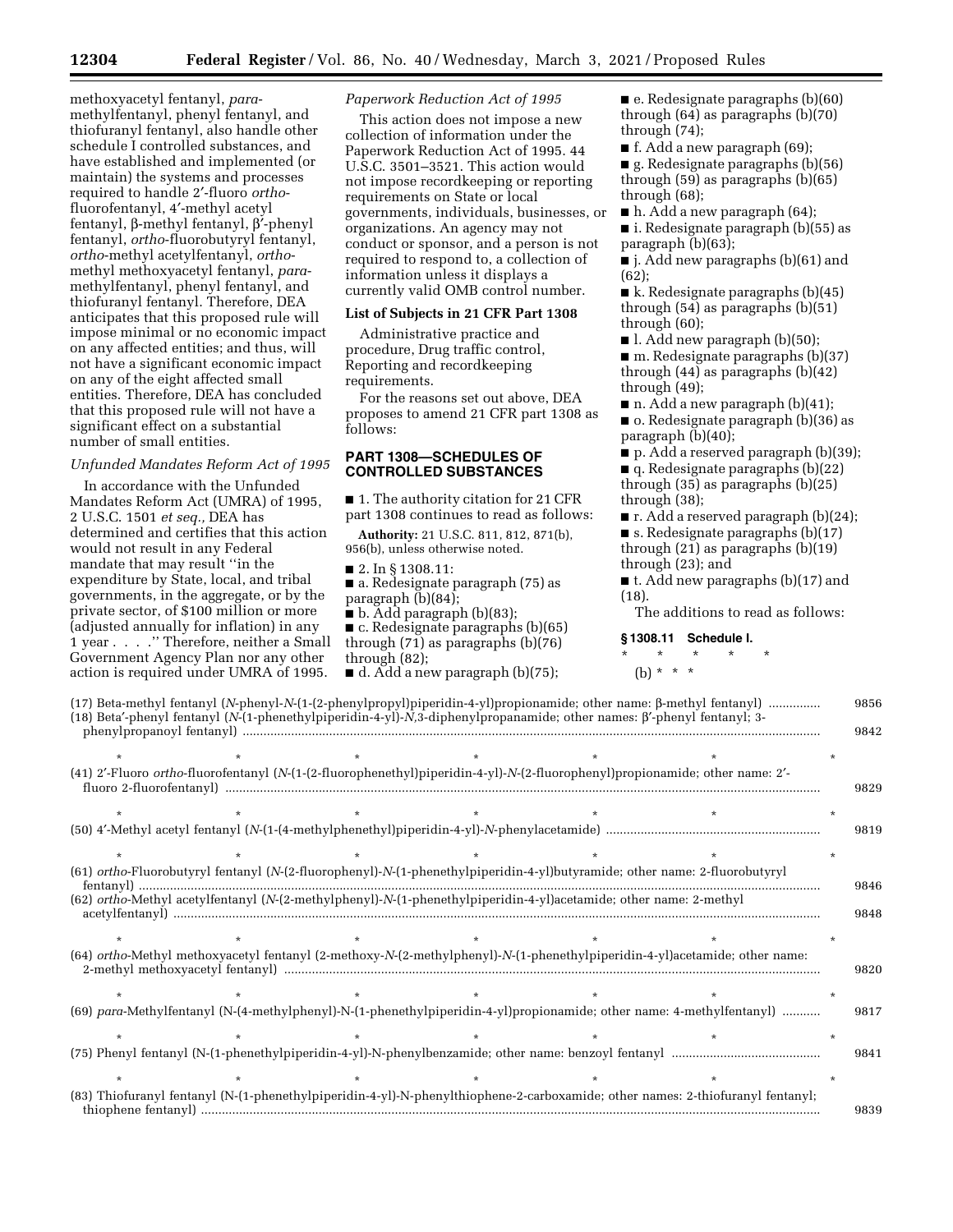methoxyacetyl fentanyl, *para*methylfentanyl, phenyl fentanyl, and thiofuranyl fentanyl, also handle other schedule I controlled substances, and have established and implemented (or maintain) the systems and processes required to handle 2′-fluoro *ortho*fluorofentanyl, 4′-methyl acetyl fentanyl, b-methyl fentanyl, b′-phenyl fentanyl, *ortho*-fluorobutyryl fentanyl, *ortho*-methyl acetylfentanyl, *ortho*methyl methoxyacetyl fentanyl, *para*methylfentanyl, phenyl fentanyl, and thiofuranyl fentanyl. Therefore, DEA anticipates that this proposed rule will impose minimal or no economic impact on any affected entities; and thus, will not have a significant economic impact on any of the eight affected small entities. Therefore, DEA has concluded that this proposed rule will not have a significant effect on a substantial number of small entities.

### *Unfunded Mandates Reform Act of 1995*

In accordance with the Unfunded Mandates Reform Act (UMRA) of 1995, 2 U.S.C. 1501 *et seq.,* DEA has determined and certifies that this action would not result in any Federal mandate that may result ''in the expenditure by State, local, and tribal governments, in the aggregate, or by the private sector, of \$100 million or more (adjusted annually for inflation) in any 1 year . . . .'' Therefore, neither a Small Government Agency Plan nor any other action is required under UMRA of 1995.

### *Paperwork Reduction Act of 1995*

This action does not impose a new collection of information under the Paperwork Reduction Act of 1995. 44 U.S.C. 3501–3521. This action would not impose recordkeeping or reporting requirements on State or local governments, individuals, businesses, or organizations. An agency may not conduct or sponsor, and a person is not required to respond to, a collection of information unless it displays a currently valid OMB control number.

### **List of Subjects in 21 CFR Part 1308**

Administrative practice and procedure, Drug traffic control, Reporting and recordkeeping requirements.

For the reasons set out above, DEA proposes to amend 21 CFR part 1308 as follows:

# **PART 1308—SCHEDULES OF CONTROLLED SUBSTANCES**

■ 1. The authority citation for 21 CFR part 1308 continues to read as follows:

**Authority:** 21 U.S.C. 811, 812, 871(b), 956(b), unless otherwise noted.

■ 2. In § 1308.11:

- a. Redesignate paragraph (75) as paragraph (b)(84);
- b. Add paragraph (b)(83);

 $\blacksquare$  c. Redesignate paragraphs (b)(65) through (71) as paragraphs (b)(76) through (82);

 $\blacksquare$  d. Add a new paragraph (b)(75);

 $\blacksquare$  e. Redesignate paragraphs (b)(60) through  $(64)$  as paragraphs  $(b)(70)$ through (74);

■ f. Add a new paragraph (69); ■ g. Redesignate paragraphs (b)(56) through (59) as paragraphs (b)(65) through (68);

■ h. Add a new paragraph (64);

■ i. Redesignate paragraph (b)(55) as paragraph (b)(63);

■ j. Add new paragraphs (b)(61) and (62);

■ k. Redesignate paragraphs (b)(45) through (54) as paragraphs (b)(51) through (60);

■ l. Add new paragraph (b)(50);

■ m. Redesignate paragraphs (b)(37) through (44) as paragraphs (b)(42) through (49);

 $\blacksquare$  n. Add a new paragraph (b)(41); ■ o. Redesignate paragraph (b)(36) as paragraph (b)(40);

■ p. Add a reserved paragraph (b)(39);

■ q. Redesignate paragraphs (b)(22) through (35) as paragraphs (b)(25) through (38);

■ r. Add a reserved paragraph (b)(24);  $\blacksquare$  s. Redesignate paragraphs (b)(17) through (21) as paragraphs (b)(19) through (23); and

■ t. Add new paragraphs (b)(17) and (18).

The additions to read as follows:

### **§ 1308.11 Schedule I.**

# \* \* \* \* \*

(b) \* \* \*

|                          |  | (17) Beta-methyl fentanyl (N-phenyl-N-(1-(2-phenylpropyl)piperidin-4-yl)propionamide; other name: β-methyl fentanyl)<br>(18) Beta'-phenyl fentanyl (N-(1-phenethylpiperidin-4-yl)-N,3-diphenylpropanamide; other names: β'-phenyl fentanyl; 3-  | 9856<br>9842 |
|--------------------------|--|-------------------------------------------------------------------------------------------------------------------------------------------------------------------------------------------------------------------------------------------------|--------------|
|                          |  |                                                                                                                                                                                                                                                 |              |
| fluoro 2-fluorofentanyl) |  | (41) 2'-Fluoro ortho-fluorofentanyl (N-(1-(2-fluorophenethyl)piperidin-4-yl)-N-(2-fluorophenyl)propionamide; other name: 2'-                                                                                                                    | 9829         |
|                          |  |                                                                                                                                                                                                                                                 |              |
|                          |  |                                                                                                                                                                                                                                                 | 9819         |
|                          |  |                                                                                                                                                                                                                                                 |              |
|                          |  | (61) ortho-Fluorobutyryl fentanyl (N-(2-fluorophenyl)-N-(1-phenethylpiperidin-4-yl)butyramide; other name: 2-fluorobutyryl<br>(62) ortho-Methyl acetylfentanyl (N-(2-methylphenyl)-N-(1-phenethylpiperidin-4-yl)acetamide; other name: 2-methyl | 9846<br>9848 |
|                          |  |                                                                                                                                                                                                                                                 |              |
|                          |  | (64) ortho-Methyl methoxyacetyl fentanyl (2-methoxy-N-(2-methylphenyl)-N-(1-phenethylpiperidin-4-yl)acetamide; other name:                                                                                                                      | 9820         |
|                          |  |                                                                                                                                                                                                                                                 |              |
|                          |  | (69) para-Methylfentanyl (N-(4-methylphenyl)-N-(1-phenethylpiperidin-4-yl)propionamide; other name: 4-methylfentanyl)                                                                                                                           | 9817         |
|                          |  |                                                                                                                                                                                                                                                 |              |
|                          |  |                                                                                                                                                                                                                                                 | 9841         |
|                          |  |                                                                                                                                                                                                                                                 |              |
|                          |  | (83) Thiofuranyl fentanyl (N-(1-phenethylpiperidin-4-yl)-N-phenylthiophene-2-carboxamide; other names: 2-thiofuranyl fentanyl;                                                                                                                  | 9839         |